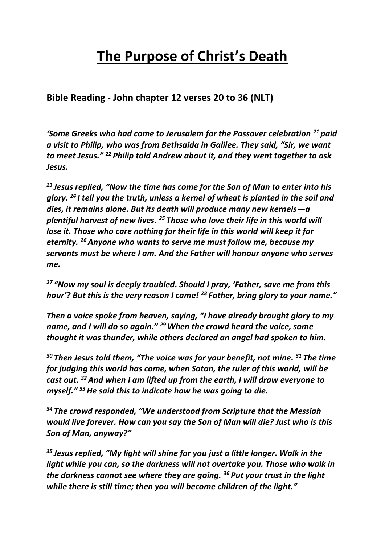# **The Purpose of Christ's Death**

**Bible Reading - John chapter 12 verses 20 to 36 (NLT)**

*'Some Greeks who had come to Jerusalem for the Passover celebration <sup>21</sup> paid a visit to Philip, who was from Bethsaida in Galilee. They said, "Sir, we want to meet Jesus." <sup>22</sup> Philip told Andrew about it, and they went together to ask Jesus.*

*<sup>23</sup> Jesus replied, "Now the time has come for the Son of Man to enter into his glory. <sup>24</sup> I tell you the truth, unless a kernel of wheat is planted in the soil and dies, it remains alone. But its death will produce many new kernels—a plentiful harvest of new lives. <sup>25</sup> Those who love their life in this world will lose it. Those who care nothing for their life in this world will keep it for eternity. <sup>26</sup>Anyone who wants to serve me must follow me, because my servants must be where I am. And the Father will honour anyone who serves me.*

*<sup>27</sup> "Now my soul is deeply troubled. Should I pray, 'Father, save me from this hour'? But this is the very reason I came! <sup>28</sup> Father, bring glory to your name."*

*Then a voice spoke from heaven, saying, "I have already brought glory to my name, and I will do so again." <sup>29</sup>When the crowd heard the voice, some thought it was thunder, while others declared an angel had spoken to him.*

*<sup>30</sup> Then Jesus told them, "The voice was for your benefit, not mine. <sup>31</sup> The time for judging this world has come, when Satan, the ruler of this world, will be cast out. <sup>32</sup>And when I am lifted up from the earth, I will draw everyone to myself." <sup>33</sup>He said this to indicate how he was going to die.*

*<sup>34</sup> The crowd responded, "We understood from Scripture that the Messiah would live forever. How can you say the Son of Man will die? Just who is this Son of Man, anyway?"*

*<sup>35</sup> Jesus replied, "My light will shine for you just a little longer. Walk in the light while you can, so the darkness will not overtake you. Those who walk in the darkness cannot see where they are going. <sup>36</sup> Put your trust in the light while there is still time; then you will become children of the light."*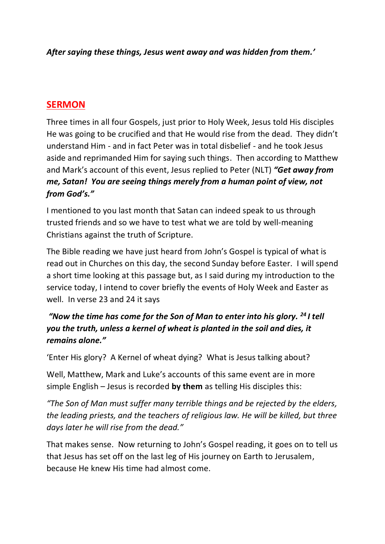*After saying these things, Jesus went away and was hidden from them.'*

# **SERMON**

Three times in all four Gospels, just prior to Holy Week, Jesus told His disciples He was going to be crucified and that He would rise from the dead. They didn't understand Him - and in fact Peter was in total disbelief - and he took Jesus aside and reprimanded Him for saying such things. Then according to Matthew and Mark's account of this event, Jesus replied to Peter (NLT) *"Get away from me, Satan! You are seeing things merely from a human point of view, not from God's."*

I mentioned to you last month that Satan can indeed speak to us through trusted friends and so we have to test what we are told by well-meaning Christians against the truth of Scripture.

The Bible reading we have just heard from John's Gospel is typical of what is read out in Churches on this day, the second Sunday before Easter. I will spend a short time looking at this passage but, as I said during my introduction to the service today, I intend to cover briefly the events of Holy Week and Easter as well. In verse 23 and 24 it says

# *"Now the time has come for the Son of Man to enter into his glory. <sup>24</sup> I tell you the truth, unless a kernel of wheat is planted in the soil and dies, it remains alone."*

'Enter His glory? A Kernel of wheat dying? What is Jesus talking about?

Well, Matthew, Mark and Luke's accounts of this same event are in more simple English – Jesus is recorded **by them** as telling His disciples this:

*"The Son of Man must suffer many terrible things and be rejected by the elders, the leading priests, and the teachers of religious law. He will be killed, but three days later he will rise from the dead."*

That makes sense. Now returning to John's Gospel reading, it goes on to tell us that Jesus has set off on the last leg of His journey on Earth to Jerusalem, because He knew His time had almost come.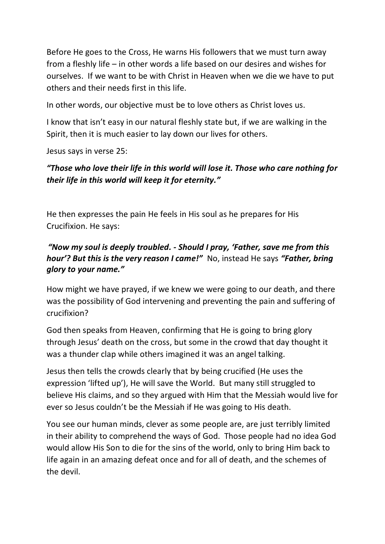Before He goes to the Cross, He warns His followers that we must turn away from a fleshly life – in other words a life based on our desires and wishes for ourselves. If we want to be with Christ in Heaven when we die we have to put others and their needs first in this life.

In other words, our objective must be to love others as Christ loves us.

I know that isn't easy in our natural fleshly state but, if we are walking in the Spirit, then it is much easier to lay down our lives for others.

Jesus says in verse 25:

# *"Those who love their life in this world will lose it. Those who care nothing for their life in this world will keep it for eternity."*

He then expresses the pain He feels in His soul as he prepares for His Crucifixion. He says:

### *"Now my soul is deeply troubled. - Should I pray, 'Father, save me from this hour'? But this is the very reason I came!"* No, instead He says *"Father, bring glory to your name."*

How might we have prayed, if we knew we were going to our death, and there was the possibility of God intervening and preventing the pain and suffering of crucifixion?

God then speaks from Heaven, confirming that He is going to bring glory through Jesus' death on the cross, but some in the crowd that day thought it was a thunder clap while others imagined it was an angel talking.

Jesus then tells the crowds clearly that by being crucified (He uses the expression 'lifted up'), He will save the World. But many still struggled to believe His claims, and so they argued with Him that the Messiah would live for ever so Jesus couldn't be the Messiah if He was going to His death.

You see our human minds, clever as some people are, are just terribly limited in their ability to comprehend the ways of God. Those people had no idea God would allow His Son to die for the sins of the world, only to bring Him back to life again in an amazing defeat once and for all of death, and the schemes of the devil.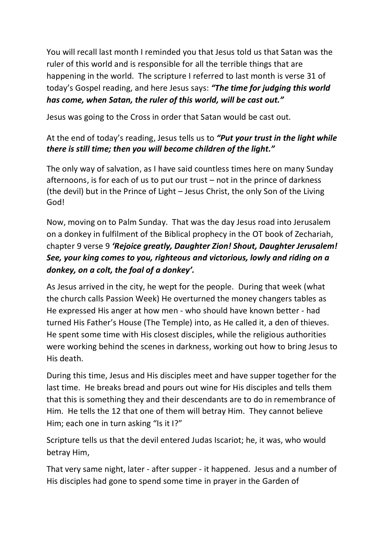You will recall last month I reminded you that Jesus told us that Satan was the ruler of this world and is responsible for all the terrible things that are happening in the world. The scripture I referred to last month is verse 31 of today's Gospel reading, and here Jesus says: *"The time for judging this world has come, when Satan, the ruler of this world, will be cast out."*

Jesus was going to the Cross in order that Satan would be cast out.

#### At the end of today's reading, Jesus tells us to *"Put your trust in the light while there is still time; then you will become children of the light."*

The only way of salvation, as I have said countless times here on many Sunday afternoons, is for each of us to put our trust – not in the prince of darkness (the devil) but in the Prince of Light – Jesus Christ, the only Son of the Living God!

Now, moving on to Palm Sunday. That was the day Jesus road into Jerusalem on a donkey in fulfilment of the Biblical prophecy in the OT book of Zechariah, chapter 9 verse 9 *'Rejoice greatly, Daughter Zion! Shout, Daughter Jerusalem! See, your king comes to you, righteous and victorious, lowly and riding on a donkey, on a colt, the foal of a donkey'.* 

As Jesus arrived in the city, he wept for the people. During that week (what the church calls Passion Week) He overturned the money changers tables as He expressed His anger at how men - who should have known better - had turned His Father's House (The Temple) into, as He called it, a den of thieves. He spent some time with His closest disciples, while the religious authorities were working behind the scenes in darkness, working out how to bring Jesus to His death.

During this time, Jesus and His disciples meet and have supper together for the last time. He breaks bread and pours out wine for His disciples and tells them that this is something they and their descendants are to do in remembrance of Him. He tells the 12 that one of them will betray Him. They cannot believe Him; each one in turn asking "Is it I?"

Scripture tells us that the devil entered Judas Iscariot; he, it was, who would betray Him,

That very same night, later - after supper - it happened. Jesus and a number of His disciples had gone to spend some time in prayer in the Garden of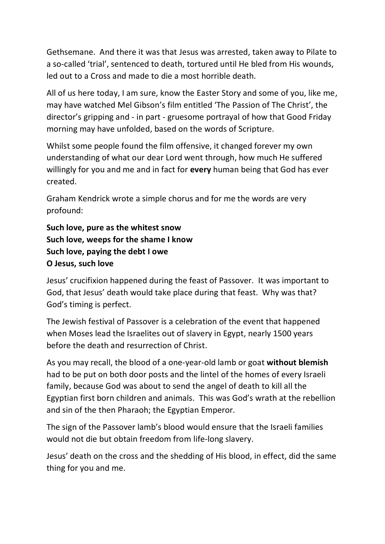Gethsemane. And there it was that Jesus was arrested, taken away to Pilate to a so-called 'trial', sentenced to death, tortured until He bled from His wounds, led out to a Cross and made to die a most horrible death.

All of us here today, I am sure, know the Easter Story and some of you, like me, may have watched Mel Gibson's film entitled 'The Passion of The Christ', the director's gripping and - in part - gruesome portrayal of how that Good Friday morning may have unfolded, based on the words of Scripture.

Whilst some people found the film offensive, it changed forever my own understanding of what our dear Lord went through, how much He suffered willingly for you and me and in fact for **every** human being that God has ever created.

Graham Kendrick wrote a simple chorus and for me the words are very profound:

```
Such love, pure as the whitest snow
Such love, weeps for the shame I know
Such love, paying the debt I owe
O Jesus, such love
```
Jesus' crucifixion happened during the feast of Passover. It was important to God, that Jesus' death would take place during that feast. Why was that? God's timing is perfect.

The Jewish festival of Passover is a celebration of the event that happened when Moses lead the Israelites out of slavery in Egypt, nearly 1500 years before the death and resurrection of Christ.

As you may recall, the blood of a one-year-old lamb or goat **without blemish** had to be put on both door posts and the lintel of the homes of every Israeli family, because God was about to send the angel of death to kill all the Egyptian first born children and animals. This was God's wrath at the rebellion and sin of the then Pharaoh; the Egyptian Emperor.

The sign of the Passover lamb's blood would ensure that the Israeli families would not die but obtain freedom from life-long slavery.

Jesus' death on the cross and the shedding of His blood, in effect, did the same thing for you and me.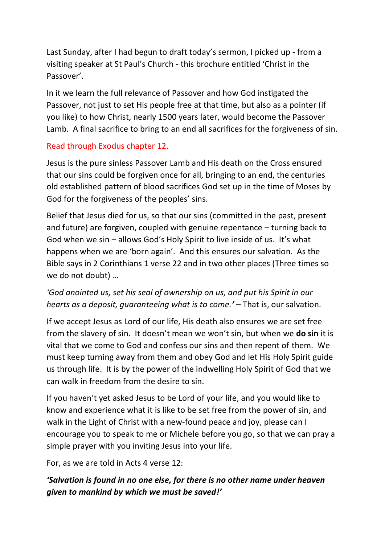Last Sunday, after I had begun to draft today's sermon, I picked up - from a visiting speaker at St Paul's Church - this brochure entitled 'Christ in the Passover'.

In it we learn the full relevance of Passover and how God instigated the Passover, not just to set His people free at that time, but also as a pointer (if you like) to how Christ, nearly 1500 years later, would become the Passover Lamb. A final sacrifice to bring to an end all sacrifices for the forgiveness of sin.

#### Read through Exodus chapter 12.

Jesus is the pure sinless Passover Lamb and His death on the Cross ensured that our sins could be forgiven once for all, bringing to an end, the centuries old established pattern of blood sacrifices God set up in the time of Moses by God for the forgiveness of the peoples' sins.

Belief that Jesus died for us, so that our sins (committed in the past, present and future) are forgiven, coupled with genuine repentance – turning back to God when we sin – allows God's Holy Spirit to live inside of us. It's what happens when we are 'born again'. And this ensures our salvation. As the Bible says in 2 Corinthians 1 verse 22 and in two other places (Three times so we do not doubt) …

# *'God anointed us, set his seal of ownership on us, and put his Spirit in our hearts as a deposit, guaranteeing what is to come.'* – That is, our salvation.

If we accept Jesus as Lord of our life, His death also ensures we are set free from the slavery of sin. It doesn't mean we won't sin, but when we **do sin** it is vital that we come to God and confess our sins and then repent of them. We must keep turning away from them and obey God and let His Holy Spirit guide us through life. It is by the power of the indwelling Holy Spirit of God that we can walk in freedom from the desire to sin.

If you haven't yet asked Jesus to be Lord of your life, and you would like to know and experience what it is like to be set free from the power of sin, and walk in the Light of Christ with a new-found peace and joy, please can I encourage you to speak to me or Michele before you go, so that we can pray a simple prayer with you inviting Jesus into your life.

For, as we are told in Acts 4 verse 12:

# *'Salvation is found in no one else, for there is no other name under heaven given to mankind by which we must be saved!'*